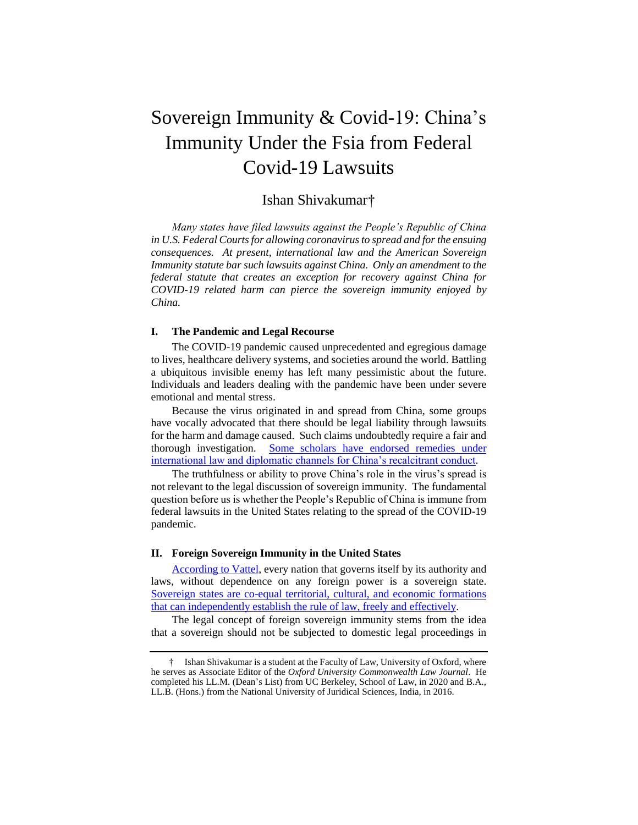# Sovereign Immunity & Covid-19: China's Immunity Under the Fsia from Federal Covid-19 Lawsuits

# Ishan Shivakumar†

*Many states have filed lawsuits against the People's Republic of China in U.S. Federal Courts for allowing coronavirus to spread and for the ensuing consequences. At present, international law and the American Sovereign Immunity statute bar such lawsuits against China. Only an amendment to the federal statute that creates an exception for recovery against China for COVID-19 related harm can pierce the sovereign immunity enjoyed by China.*

# **I. The Pandemic and Legal Recourse**

The COVID-19 pandemic caused unprecedented and egregious damage to lives, healthcare delivery systems, and societies around the world. Battling a ubiquitous invisible enemy has left many pessimistic about the future. Individuals and leaders dealing with the pandemic have been under severe emotional and mental stress.

Because the virus originated in and spread from China, some groups have vocally advocated that there should be legal liability through lawsuits for the harm and damage caused. Such claims undoubtedly require a fair and thorough investigation. [Some scholars have endorsed remedies under](https://internationallaw.blog/2020/04/06/did-not-even-bat-an-eye-on-china-a-case-at-the-international-court-of-justice-to-prevent-china-from-re-opening-wet-bat-markets-in-wake-of-the-covid-19-furore/)  [international law and diplomatic channels for China's recalcitrant conduct.](https://internationallaw.blog/2020/04/06/did-not-even-bat-an-eye-on-china-a-case-at-the-international-court-of-justice-to-prevent-china-from-re-opening-wet-bat-markets-in-wake-of-the-covid-19-furore/)

The truthfulness or ability to prove China's role in the virus's spread is not relevant to the legal discussion of sovereign immunity. The fundamental question before us is whether the People's Republic of China is immune from federal lawsuits in the United States relating to the spread of the COVID-19 pandemic.

#### **II. Foreign Sovereign Immunity in the United States**

[According to Vattel,](https://books.google.com/books/about/The_Law_of_Nations.html?id=ENULAQAAIAAJ) every nation that governs itself by its authority and laws, without dependence on any foreign power is a sovereign state. [Sovereign states are co-equal territorial, cultural, and economic formations](https://books.google.com/books/about/The_Law_of_Nations.html?id=ENULAQAAIAAJ)  [that can independently establish the rule of law, freely and effectively.](https://books.google.com/books/about/The_Law_of_Nations.html?id=ENULAQAAIAAJ)

The legal concept of foreign sovereign immunity stems from the idea that a sovereign should not be subjected to domestic legal proceedings in

<sup>†</sup> Ishan Shivakumar is a student at the Faculty of Law, University of Oxford, where he serves as Associate Editor of the *Oxford University Commonwealth Law Journal*. He completed his LL.M. (Dean's List) from UC Berkeley, School of Law, in 2020 and B.A., LL.B. (Hons.) from the National University of Juridical Sciences, India, in 2016.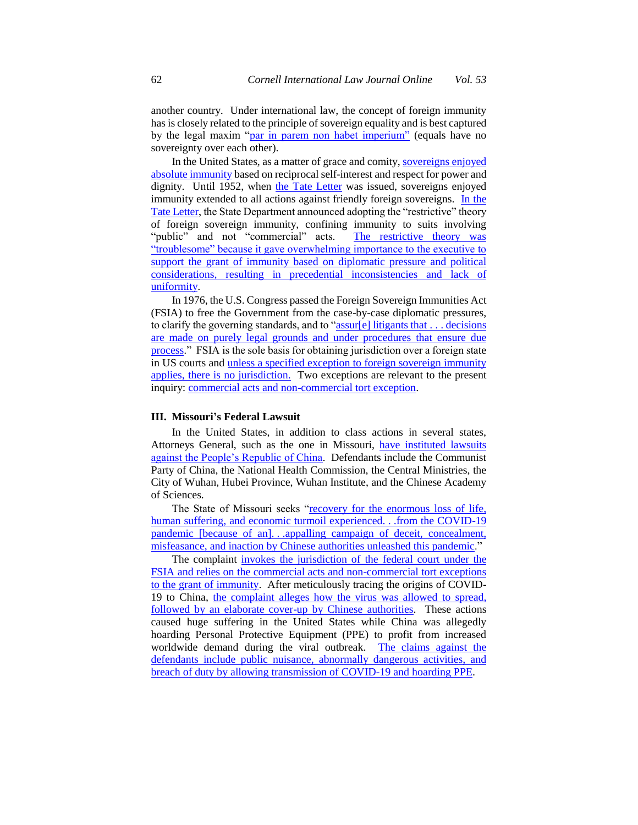another country. Under international law, the concept of foreign immunity has is closely related to the principle of sovereign equality and is best captured by the legal maxim ["par in parem non habet imperium"](https://scholarlycommons.law.northwestern.edu/cgi/viewcontent.cgi?article=1111&context=njihr) (equals have no sovereignty over each other).

In the United States, as a matter of grace and comity[, sovereigns enjoyed](https://supreme.justia.com/cases/federal/us/11/116/)  [absolute immunity](https://supreme.justia.com/cases/federal/us/11/116/) based on reciprocal self-interest and respect for power and dignity. Until 1952, when [the Tate Letter](https://www.oxfordreference.com/view/10.1093/oi/authority.20110803102205119) was issued, sovereigns enjoyed immunity extended to all actions against friendly foreign sovereigns. [In the](https://www.oxfordreference.com/view/10.1093/oi/authority.20110803102205119)  [Tate Letter,](https://www.oxfordreference.com/view/10.1093/oi/authority.20110803102205119) the State Department announced adopting the "restrictive" theory of foreign sovereign immunity, confining immunity to suits involving "public" and not "commercial" acts. The restrictive theory was ["troublesome" because it gave overwhelming importance to the executive to](https://supreme.justia.com/cases/federal/us/461/480/)  [support the grant of immunity based on diplomatic pressure and political](https://supreme.justia.com/cases/federal/us/461/480/)  [considerations, resulting in precedential inconsistencies and lack of](https://supreme.justia.com/cases/federal/us/461/480/)  [uniformity.](https://supreme.justia.com/cases/federal/us/461/480/)

In 1976, the U.S. Congress passed the Foreign Sovereign Immunities Act (FSIA) to free the Government from the case-by-case diplomatic pressures, to clarify the governing standards, and to ["assur\[e\] litigants that](https://supreme.justia.com/cases/federal/us/461/480/) . . . decisions [are made on purely legal grounds and under procedures that ensure due](https://supreme.justia.com/cases/federal/us/461/480/)  [process.](https://supreme.justia.com/cases/federal/us/461/480/)" FSIA is the sole basis for obtaining jurisdiction over a foreign state in US courts and [unless a specified exception to foreign sovereign immunity](https://www.courtlistener.com/opinion/180344/peterson-v-islamic-republic-of-iran/)  [applies, there is no jurisdiction.](https://www.courtlistener.com/opinion/180344/peterson-v-islamic-republic-of-iran/) Two exceptions are relevant to the present inquiry: [commercial acts and non-commercial tort exception.](https://www.law.cornell.edu/uscode/text/28/1605)

#### **III. Missouri's Federal Lawsuit**

In the United States, in addition to class actions in several states, Attorneys General, such as the one in Missouri, [have instituted lawsuits](https://ago.mo.gov/docs/default-source/press-releases/2019/prc-complaint.pdf?sfvrsn=86ae7ab_2)  [against the People's Republic of China.](https://ago.mo.gov/docs/default-source/press-releases/2019/prc-complaint.pdf?sfvrsn=86ae7ab_2) Defendants include the Communist Party of China, the National Health Commission, the Central Ministries, the City of Wuhan, Hubei Province, Wuhan Institute, and the Chinese Academy of Sciences.

The State of Missouri seeks ["recovery for the enormous loss of life,](https://ago.mo.gov/docs/default-source/press-releases/2019/prc-complaint.pdf?sfvrsn=86ae7ab_2)  [human suffering, and economic turmoil experienced.](https://ago.mo.gov/docs/default-source/press-releases/2019/prc-complaint.pdf?sfvrsn=86ae7ab_2) . .from the COVID-19 pandemic [because of an]. . [.appalling campaign of deceit, concealment,](https://ago.mo.gov/docs/default-source/press-releases/2019/prc-complaint.pdf?sfvrsn=86ae7ab_2)  [misfeasance, and inaction by Chinese authorities unleashed this](https://ago.mo.gov/docs/default-source/press-releases/2019/prc-complaint.pdf?sfvrsn=86ae7ab_2) pandemic."

The complaint [invokes the jurisdiction of the federal court under the](https://ago.mo.gov/docs/default-source/press-releases/2019/prc-complaint.pdf?sfvrsn=86ae7ab_2)  [FSIA and relies on the commercial acts and non-commercial tort exceptions](https://ago.mo.gov/docs/default-source/press-releases/2019/prc-complaint.pdf?sfvrsn=86ae7ab_2)  [to the grant of immunity.](https://ago.mo.gov/docs/default-source/press-releases/2019/prc-complaint.pdf?sfvrsn=86ae7ab_2) After meticulously tracing the origins of COVID-19 to China, [the complaint alleges how the virus was allowed to spread,](https://ago.mo.gov/docs/default-source/press-releases/2019/prc-complaint.pdf?sfvrsn=86ae7ab_2)  [followed by an elaborate cover-up by Chinese authorities.](https://ago.mo.gov/docs/default-source/press-releases/2019/prc-complaint.pdf?sfvrsn=86ae7ab_2) These actions caused huge suffering in the United States while China was allegedly hoarding Personal Protective Equipment (PPE) to profit from increased worldwide demand during the viral outbreak. [The claims against the](https://ago.mo.gov/docs/default-source/press-releases/2019/prc-complaint.pdf?sfvrsn=86ae7ab_2)  [defendants include public nuisance, abnormally dangerous activities, and](https://ago.mo.gov/docs/default-source/press-releases/2019/prc-complaint.pdf?sfvrsn=86ae7ab_2)  [breach of duty by allowing transmission of COVID-19 and hoarding PPE.](https://ago.mo.gov/docs/default-source/press-releases/2019/prc-complaint.pdf?sfvrsn=86ae7ab_2)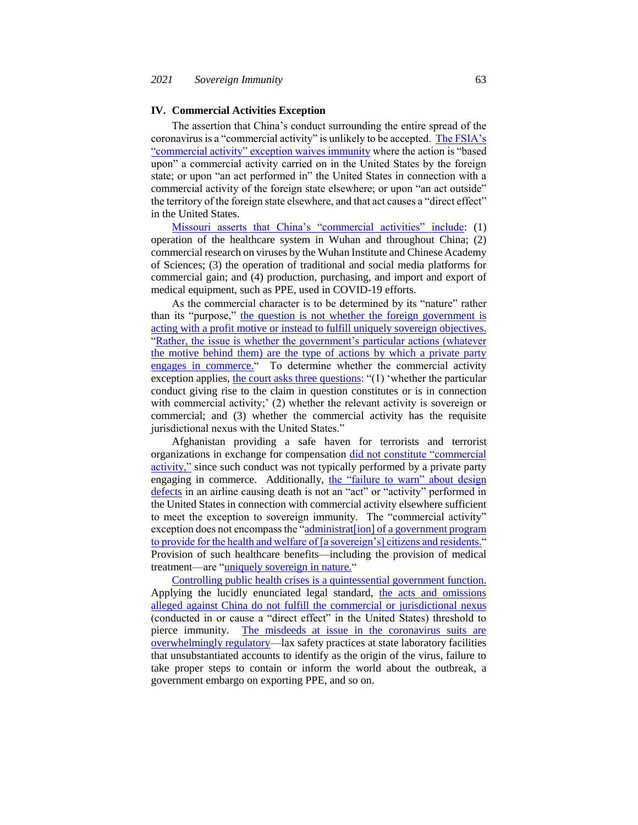#### **IV. Commercial Activities Exception**

The assertion that China's conduct surrounding the entire spread of the coronavirus is a "commercial activity" is unlikely to be accepted. [The FSIA's](https://www.law.cornell.edu/uscode/text/28/1605)  ["commercial activity" exception waives immunity](https://www.law.cornell.edu/uscode/text/28/1605) where the action is "based upon" a commercial activity carried on in the United States by the foreign state; or upon "an act performed in" the United States in connection with a commercial activity of the foreign state elsewhere; or upon "an act outside" the territory of the foreign state elsewhere, and that act causes a "direct effect" in the United States.

[Missouri asserts that China's "commercial activities" include:](https://ago.mo.gov/docs/default-source/press-releases/2019/prc-complaint.pdf?sfvrsn=86ae7ab_2) (1) operation of the healthcare system in Wuhan and throughout China; (2) commercial research on viruses by the Wuhan Institute and Chinese Academy of Sciences; (3) the operation of traditional and social media platforms for commercial gain; and (4) production, purchasing, and import and export of medical equipment, such as PPE, used in COVID-19 efforts.

As the commercial character is to be determined by its "nature" rather than its "purpose," [the question is not whether the foreign government is](https://supreme.justia.com/cases/federal/us/504/607/)  [acting with a profit motive or instead to fulfill uniquely sovereign objectives.](https://supreme.justia.com/cases/federal/us/504/607/)  "Rather, the issue is whether the government's particular actions (whatever [the motive behind them\) are the type of actions by which a private party](https://supreme.justia.com/cases/federal/us/504/607/)  [engages in commerce."](https://supreme.justia.com/cases/federal/us/504/607/) To determine whether the commercial activity exception applies, [the court asks three questions:](https://www.courtlistener.com/opinion/2387910/wahba-v-national-bank-of-egypt/) "(1) 'whether the particular conduct giving rise to the claim in question constitutes or is in connection with commercial activity;' (2) whether the relevant activity is sovereign or commercial; and (3) whether the commercial activity has the requisite jurisdictional nexus with the United States."

Afghanistan providing a safe haven for terrorists and terrorist organizations in exchange for compensation [did not constitute "commercial](https://law.resource.org/pub/us/case/reporter/F3/417/417.F3d.1.04-5266.html)  [activity,"](https://law.resource.org/pub/us/case/reporter/F3/417/417.F3d.1.04-5266.html) since such conduct was not typically performed by a private party engaging in commerce. Additionally, the "failure to warn" about design [defects](https://casetext.com/case/filus-v-lot-polish-airlines) in an airline causing death is not an "act" or "activity" performed in the United States in connection with commercial activity elsewhere sufficient to meet the exception to sovereign immunity. The "commercial activity" exception does not encompass the "administrat<sup>[jon]</sup> of a government program [to provide for the health and welfare of \[a sovereign's\] citizens and residents."](https://casetext.com/case/elbasir-v-kingdom-of-saudi-arabia) Provision of such healthcare benefits—including the provision of medical treatment—are "uniquely [sovereign in nature."](https://casetext.com/case/elbasir-v-kingdom-of-saudi-arabia)

[Controlling public health crises is a quintessential government function.](https://news.bloomberglaw.com/us-law-week/insight-should-congress-amend-the-fsia-to-allow-covid-19-suits-against-china)  Applying the lucidly enunciated legal standard, [the acts and omissions](https://www.fpri.org/article/2020/05/pursuing-politics-through-legal-means-u-s-efforts-to-hold-china-responsible-for-covid-19/)  [alleged against China do not fulfill the commercial or jurisdictional nexus](https://www.fpri.org/article/2020/05/pursuing-politics-through-legal-means-u-s-efforts-to-hold-china-responsible-for-covid-19/) (conducted in or cause a "direct effect" in the United States) threshold to pierce immunity. [The misdeeds at issue in the coronavirus suits are](https://www.fpri.org/article/2020/05/pursuing-politics-through-legal-means-u-s-efforts-to-hold-china-responsible-for-covid-19/)  [overwhelmingly regulatory—](https://www.fpri.org/article/2020/05/pursuing-politics-through-legal-means-u-s-efforts-to-hold-china-responsible-for-covid-19/)lax safety practices at state laboratory facilities that unsubstantiated accounts to identify as the origin of the virus, failure to take proper steps to contain or inform the world about the outbreak, a government embargo on exporting PPE, and so on.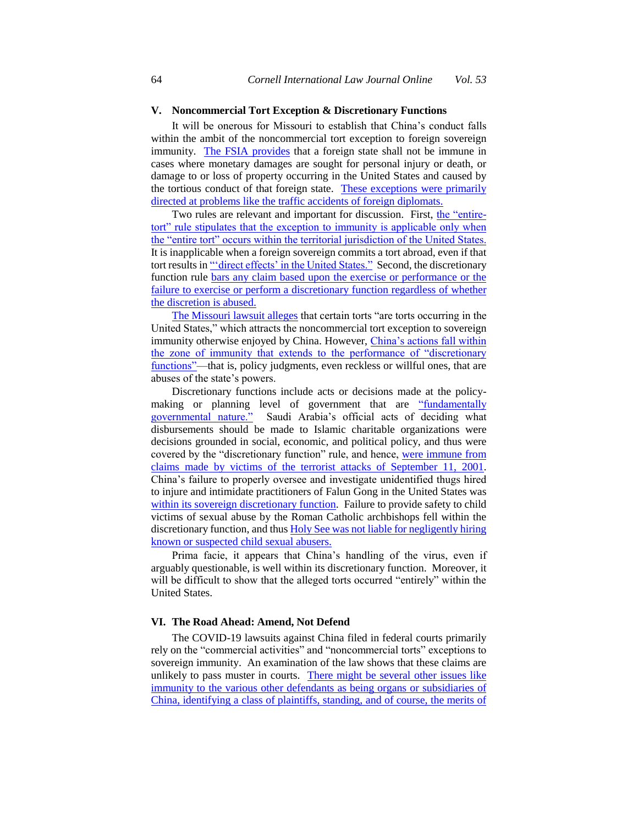# **V. Noncommercial Tort Exception & Discretionary Functions**

It will be onerous for Missouri to establish that China's conduct falls within the ambit of the noncommercial tort exception to foreign sovereign immunity. [The FSIA provides](https://www.law.cornell.edu/uscode/text/28/1605) that a foreign state shall not be immune in cases where monetary damages are sought for personal injury or death, or damage to or loss of property occurring in the United States and caused by the tortious conduct of that foreign state. These exceptions were primarily [directed at problems like the traffic accidents of foreign diplomats.](https://law.justia.com/cases/federal/district-courts/FSupp/558/358/1810636/)

Two rules are relevant and important for discussion. First, [the "entire](https://supreme.justia.com/cases/federal/us/488/428/)[tort" rule stipulates that the exception to immunity is applicable only when](https://supreme.justia.com/cases/federal/us/488/428/)  [the "entire tort" occurs within the territorial jurisdiction of the United States.](https://supreme.justia.com/cases/federal/us/488/428/)  It is inapplicable when a foreign sovereign commits a tort abroad, even if that tort results in "*direct effects'* in the United States." Second, the discretionary function rule [bars any claim based upon the exercise or performance or the](https://www.law.cornell.edu/uscode/text/28/1605)  [failure to exercise or perform a discretionary function regardless of whether](https://www.law.cornell.edu/uscode/text/28/1605)  [the discretion is abused.](https://www.law.cornell.edu/uscode/text/28/1605)

[The Missouri lawsuit alleges](https://ago.mo.gov/docs/default-source/press-releases/2019/prc-complaint.pdf?sfvrsn=86ae7ab_2) that certain torts "are torts occurring in the United States," which attracts the noncommercial tort exception to sovereign immunity otherwise enjoyed by China. However, [China's actions fall within](https://www.fpri.org/article/2020/05/pursuing-politics-through-legal-means-u-s-efforts-to-hold-china-responsible-for-covid-19/) [the zone of immunity that extends to the performance of "discretionary](https://www.fpri.org/article/2020/05/pursuing-politics-through-legal-means-u-s-efforts-to-hold-china-responsible-for-covid-19/)  [functions"—](https://www.fpri.org/article/2020/05/pursuing-politics-through-legal-means-u-s-efforts-to-hold-china-responsible-for-covid-19/)that is, policy judgments, even reckless or willful ones, that are abuses of the state's powers.

Discretionary functions include acts or decisions made at the policymaking or planning level of government that are ["fundamentally](https://casetext.com/case/olsen-by-sheldon-v-government-of-mexico)  [governmental nature."](https://casetext.com/case/olsen-by-sheldon-v-government-of-mexico) Saudi Arabia's official acts of deciding what disbursements should be made to Islamic charitable organizations were decisions grounded in social, economic, and political policy, and thus were covered by the "discretionary function" rule, and hence, [were immune from](https://casetext.com/case/burnett-v-al-baraka-investment-development-corporation-3)  [claims made by victims of the terrorist attacks of September 11, 2001.](https://casetext.com/case/burnett-v-al-baraka-investment-development-corporation-3)  China's failure to properly oversee and investigate unidentified thugs hired to injure and intimidate practitioners of Falun Gong in the United States was [within its sovereign discretionary function.](https://casetext.com/case/jin-v-ministry-of-state-security-3) Failure to provide safety to child victims of sexual abuse by the Roman Catholic archbishops fell within the discretionary function, and thus **Holy See was not liable for negligently hiring** [known or suspected child sexual abusers.](https://caselaw.findlaw.com/us-6th-circuit/1026381.html)

Prima facie, it appears that China's handling of the virus, even if arguably questionable, is well within its discretionary function. Moreover, it will be difficult to show that the alleged torts occurred "entirely" within the United States.

#### **VI. The Road Ahead: Amend, Not Defend**

The COVID-19 lawsuits against China filed in federal courts primarily rely on the "commercial activities" and "noncommercial torts" exceptions to sovereign immunity. An examination of the law shows that these claims are unlikely to pass muster in courts. There might be several other issues like [immunity to the various other defendants as being organs or subsidiaries of](https://www.fpri.org/article/2020/05/pursuing-politics-through-legal-means-u-s-efforts-to-hold-china-responsible-for-covid-19/)  [China, identifying a class of plaintiffs, standing, and of course, the merits of](https://www.fpri.org/article/2020/05/pursuing-politics-through-legal-means-u-s-efforts-to-hold-china-responsible-for-covid-19/)